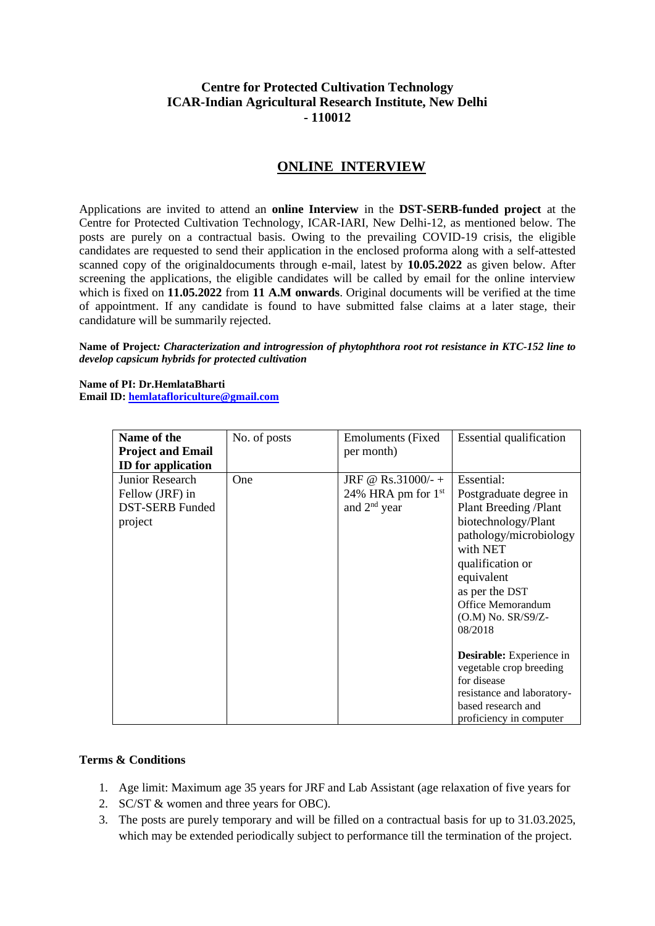## **Centre for Protected Cultivation Technology ICAR-Indian Agricultural Research Institute, New Delhi - 110012**

## **ONLINE INTERVIEW**

Applications are invited to attend an **online Interview** in the **DST-SERB-funded project** at the Centre for Protected Cultivation Technology, ICAR-IARI, New Delhi-12, as mentioned below. The posts are purely on a contractual basis. Owing to the prevailing COVID-19 crisis, the eligible candidates are requested to send their application in the enclosed proforma along with a self-attested scanned copy of the originaldocuments through e-mail, latest by **10.05.2022** as given below. After screening the applications, the eligible candidates will be called by email for the online interview which is fixed on **11.05.2022** from **11 A.M onwards**. Original documents will be verified at the time of appointment. If any candidate is found to have submitted false claims at a later stage, their candidature will be summarily rejected.

**Name of Project***: Characterization and introgression of phytophthora root rot resistance in KTC-152 line to develop capsicum hybrids for protected cultivation*

**Name of PI: Dr.HemlataBharti Email ID: [hemlatafloriculture@gmail.com](mailto:hemlatafloriculture@gmail.com)**

| Name of the<br><b>Project and Email</b><br><b>ID</b> for application    | No. of posts | <b>Emoluments</b> (Fixed)<br>per month)                      | <b>Essential qualification</b>                                                                                                                                                                                                                                                                                                                                                             |
|-------------------------------------------------------------------------|--------------|--------------------------------------------------------------|--------------------------------------------------------------------------------------------------------------------------------------------------------------------------------------------------------------------------------------------------------------------------------------------------------------------------------------------------------------------------------------------|
| Junior Research<br>Fellow (JRF) in<br><b>DST-SERB Funded</b><br>project | One          | JRF @ Rs.31000/- +<br>24% HRA pm for $1st$<br>and $2nd$ year | Essential:<br>Postgraduate degree in<br>Plant Breeding / Plant<br>biotechnology/Plant<br>pathology/microbiology<br>with NET<br>qualification or<br>equivalent<br>as per the DST<br>Office Memorandum<br>(O.M) No. SR/S9/Z-<br>08/2018<br>Desirable: Experience in<br>vegetable crop breeding<br>for disease<br>resistance and laboratory-<br>based research and<br>proficiency in computer |

### **Terms & Conditions**

- 1. Age limit: Maximum age 35 years for JRF and Lab Assistant (age relaxation of five years for
- 2. SC/ST & women and three years for OBC).
- 3. The posts are purely temporary and will be filled on a contractual basis for up to 31.03.2025, which may be extended periodically subject to performance till the termination of the project.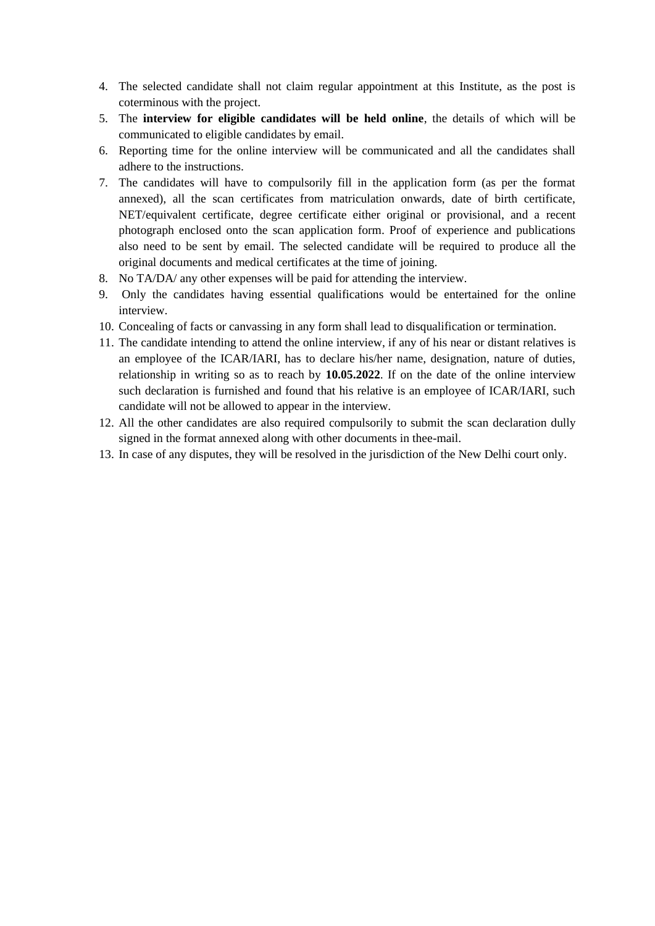- 4. The selected candidate shall not claim regular appointment at this Institute, as the post is coterminous with the project.
- 5. The **interview for eligible candidates will be held online**, the details of which will be communicated to eligible candidates by email.
- 6. Reporting time for the online interview will be communicated and all the candidates shall adhere to the instructions.
- 7. The candidates will have to compulsorily fill in the application form (as per the format annexed), all the scan certificates from matriculation onwards, date of birth certificate, NET/equivalent certificate, degree certificate either original or provisional, and a recent photograph enclosed onto the scan application form. Proof of experience and publications also need to be sent by email. The selected candidate will be required to produce all the original documents and medical certificates at the time of joining.
- 8. No TA/DA/ any other expenses will be paid for attending the interview.
- 9. Only the candidates having essential qualifications would be entertained for the online interview.
- 10. Concealing of facts or canvassing in any form shall lead to disqualification or termination.
- 11. The candidate intending to attend the online interview, if any of his near or distant relatives is an employee of the ICAR/IARI, has to declare his/her name, designation, nature of duties, relationship in writing so as to reach by **10.05.2022**. If on the date of the online interview such declaration is furnished and found that his relative is an employee of ICAR/IARI, such candidate will not be allowed to appear in the interview.
- 12. All the other candidates are also required compulsorily to submit the scan declaration dully signed in the format annexed along with other documents in thee-mail.
- 13. In case of any disputes, they will be resolved in the jurisdiction of the New Delhi court only.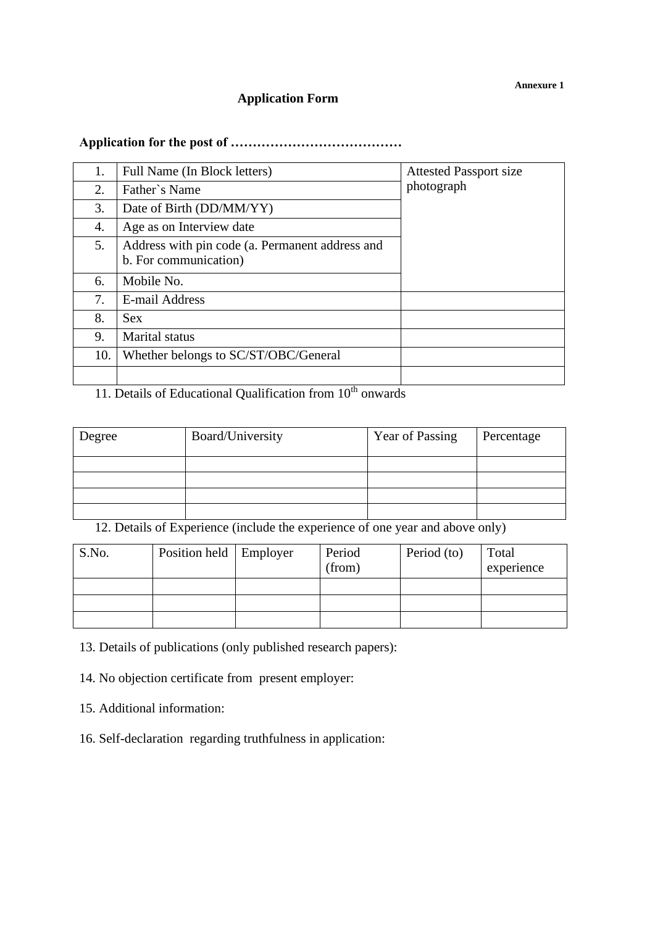# **Application Form**

# **Application for the post of …………………………………**

| 1.  | Full Name (In Block letters)                    | <b>Attested Passport size</b> |
|-----|-------------------------------------------------|-------------------------------|
| 2.  | Father's Name                                   | photograph                    |
| 3.  | Date of Birth (DD/MM/YY)                        |                               |
| 4.  | Age as on Interview date                        |                               |
| 5.  | Address with pin code (a. Permanent address and |                               |
|     | b. For communication)                           |                               |
| 6.  | Mobile No.                                      |                               |
| 7.  | E-mail Address                                  |                               |
| 8.  | <b>Sex</b>                                      |                               |
| 9.  | <b>Marital</b> status                           |                               |
| 10. | Whether belongs to SC/ST/OBC/General            |                               |
|     |                                                 |                               |

# 11. Details of Educational Qualification from 10<sup>th</sup> onwards

| Degree | Board/University | <b>Year of Passing</b> | Percentage |
|--------|------------------|------------------------|------------|
|        |                  |                        |            |
|        |                  |                        |            |
|        |                  |                        |            |
|        |                  |                        |            |

12. Details of Experience (include the experience of one year and above only)

| S.No. | Position held   Employer | Period<br>(from) | Period (to) | Total<br>experience |
|-------|--------------------------|------------------|-------------|---------------------|
|       |                          |                  |             |                     |
|       |                          |                  |             |                     |
|       |                          |                  |             |                     |

13. Details of publications (only published research papers):

14. No objection certificate from present employer:

15. Additional information:

16. Self-declaration regarding truthfulness in application: